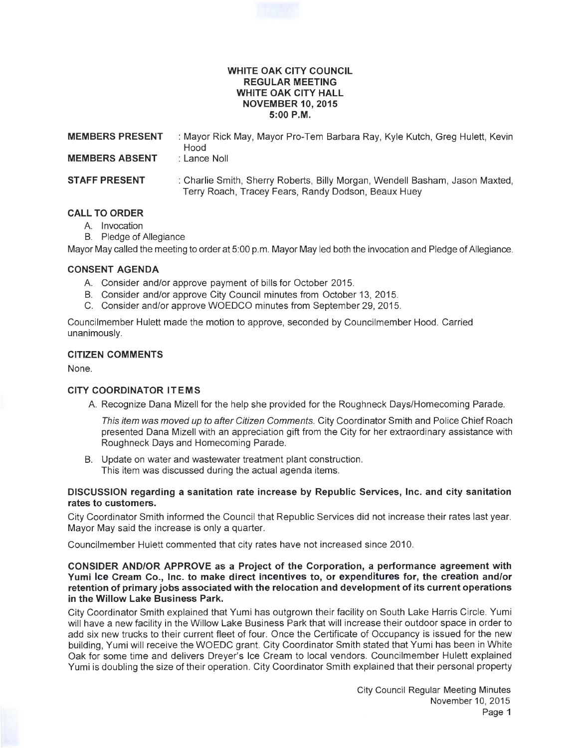### **WHITE OAK CITY COUNCIL REGULAR MEETING WHITE OAK CITY HALL NOVEMBER 10, 2015 5:00P.M.**

| <b>MEMBERS PRESENT</b> | : Mayor Rick May, Mayor Pro-Tem Barbara Ray, Kyle Kutch, Greg Hulett, Kevin<br>Hood                                                 |
|------------------------|-------------------------------------------------------------------------------------------------------------------------------------|
| <b>MEMBERS ABSENT</b>  | : Lance Noll                                                                                                                        |
| <b>STAFF PRESENT</b>   | : Charlie Smith, Sherry Roberts, Billy Morgan, Wendell Basham, Jason Maxted,<br>Terry Roach, Tracey Fears, Randy Dodson, Beaux Huey |

# **CALL TO ORDER**

- A. Invocation
- B. Pledge of Allegiance

Mayor May called the meeting to order at 5:00 p.m. Mayor May led both the invocation and Pledge of Allegiance.

## **CONSENT AGENDA**

- A. Consider and/or approve payment of bills for October 2015.
- B. Consider and/or approve City Council minutes from October 13, 2015.
- C. Consider and/or approve WOEDCO minutes from September 29, 2015.

Councilmember Hulett made the motion to approve, seconded by Councilmember Hood. Carried unanimously.

### **CITIZEN COMMENTS**

None.

# **CITY COORDINATOR ITEMS**

A. Recognize Dana Mizell for the help she provided for the Roughneck Days/Homecoming Parade.

This item was moved up to after Citizen Comments. City Coordinator Smith and Police Chief Roach presented Dana Mizell with an appreciation gift from the City for her extraordinary assistance with Roughneck Days and Homecoming Parade.

B. Update on water and wastewater treatment plant construction. This item was discussed during the actual agenda items.

## **DISCUSSION regarding a sanitation rate increase by Republic Services, Inc. and city sanitation rates to customers.**

City Coordinator Smith informed the Council that Republic Services did not increase their rates last year. Mayor May said the increase is only a quarter.

Councilmember Hulett commented that city rates have not increased since 2010.

### **CONSIDER AND/OR APPROVE as a Project of the Corporation, a performance agreement with Yumi Ice Cream Co., Inc. to make direct incentives to, or expenditures for, the creation and/or retention of primary jobs associated with the relocation and development of its current operations in the Willow Lake Business Park.**

City Coordinator Smith explained that Yumi has outgrown their facility on South Lake Harris Circle. Yumi will have a new facility in the Willow Lake Business Park that will increase their outdoor space in order to add six new trucks to their current fleet of four. Once the Certificate of Occupancy is issued for the new building, Yumi will receive the WOEDC grant. City Coordinator Smith stated that Yumi has been in White Oak for some time and delivers Dreyer's Ice Cream to local vendors. Councilmember Hulett explained Yumi is doubling the size of their operation. City Coordinator Smith explained that their personal property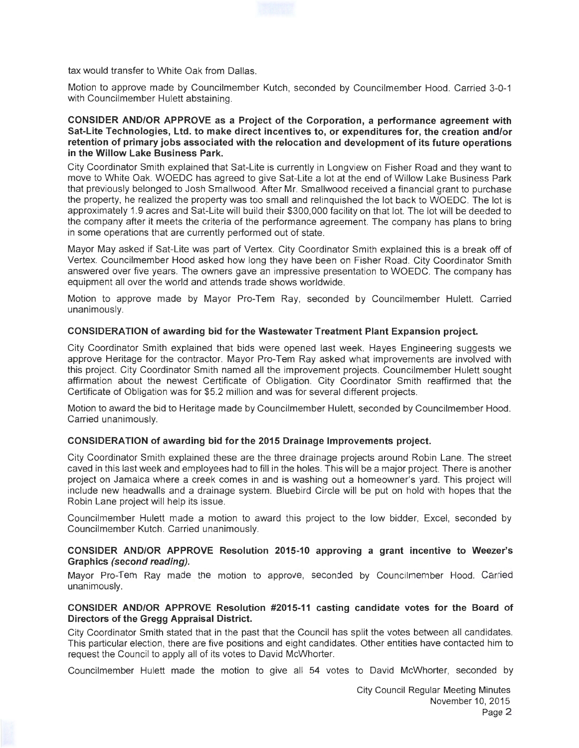tax would transfer to White Oak from Dallas.

Motion to approve made by Councilmember Kutch, seconded by Councilmember Hood. Carried 3-0-1 with Councilmember Hulett abstaining.

### **CONSIDER AND/OR APPROVE as a Project of the Corporation, a performance agreement with Sat-Lite Technologies, Ltd. to make direct incentives to, or expenditures for, the creation and/or retention of primary jobs associated with the relocation and development of its future operations in the Willow Lake Business Park.**

City Coordinator Smith explained that Sat-Lite is currently in Longview on Fisher Road and they want to move to White Oak. WOEDC has agreed to give Sat-Lite a lot at the end of Willow Lake Business Park that previously belonged to Josh Smallwood. After Mr. Smallwood received a financial grant to purchase the property, he realized the property was too small and relinquished the lot back to WOEDC. The lot is approximately 1.9 acres and Sat-Lite will build their \$300,000 facility on that lot. The lot will be deeded to the company after it meets the criteria of the performance agreement. The company has plans to bring in some operations that are currently performed out of state.

Mayor May asked if Sat-Lite was part of Vertex. City Coordinator Smith explained this is a break off of Vertex. Councilmember Hood asked how long they have been on Fisher Road. City Coordinator Smith answered over five years. The owners gave an impressive presentation to WOEDC. The company has equipment all over the world and attends trade shows worldwide.

Motion to approve made by Mayor Pro-Tem Ray, seconded by Councilmember Hulett. Carried unanimously.

### **CONSIDERATION of awarding bid for the Wastewater Treatment Plant Expansion project.**

City Coordinator Smith explained that bids were opened last week. Hayes Engineering suggests we approve Heritage for the contractor. Mayor Pro-Tem Ray asked what improvements are involved with this project. City Coordinator Smith named all the improvement projects. Councilmember Hulett sought affirmation about the newest Certificate of Obligation. City Coordinator Smith reaffirmed that the Certificate of Obligation was for \$5.2 million and was for several different projects.

Motion to award the bid to Heritage made by Councilmember Hulett, seconded by Councilmember Hood. Carried unanimously.

### **CONSIDERATION of awarding bid for the 2015 Drainage Improvements project.**

City Coordinator Smith explained these are the three drainage projects around Robin Lane. The street caved in this last week and employees had to fill in the holes. This will be a major project. There is another project on Jamaica where a creek comes in and is washing out a homeowner's yard. This project will include new headwalls and a drainage system. Bluebird Circle will be put on hold with hopes that the Robin Lane project will help its issue.

Councilmember Hulett made a motion to award this project to the low bidder, Excel, seconded by Councilmember Kutch. Carried unanimously.

### **CONSIDER AND/OR APPROVE Resolution 2015-10 approving a grant incentive to Weezer's Graphics (second reading).**

Mayor Pro-Tem Ray made the motion to approve, seconded by Councilmember Hood. Carried unanimously.

### **CONSIDER AND/OR APPROVE Resolution #2015-11 casting candidate votes for the Board of Directors of the Gregg Appraisal District.**

City Coordinator Smith stated that in the past that the Council has split the votes between all candidates. This particular election, there are five positions and eight candidates. Other entities have contacted him to request the Council to apply all of its votes to David McWhorter.

Councilmember Hulett made the motion to give all 54 votes to David McWhorter, seconded by